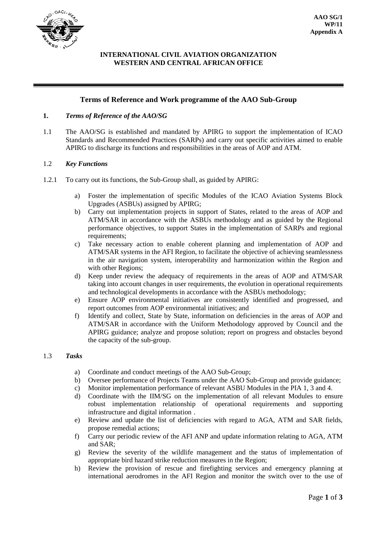

# **INTERNATIONAL CIVIL AVIATION ORGANIZATION WESTERN AND CENTRAL AFRICAN OFFICE**

# **Terms of Reference and Work programme of the AAO Sub-Group**

### **1.** *Terms of Reference of the AAO/SG*

1.1 The AAO/SG is established and mandated by APIRG to support the implementation of ICAO Standards and Recommended Practices (SARPs) and carry out specific activities aimed to enable APIRG to discharge its functions and responsibilities in the areas of AOP and ATM.

#### 1.2 *Key Functions*

- 1.2.1 To carry out its functions, the Sub-Group shall, as guided by APIRG:
	- a) Foster the implementation of specific Modules of the ICAO Aviation Systems Block Upgrades (ASBUs) assigned by APIRG;
	- b) Carry out implementation projects in support of States, related to the areas of AOP and ATM/SAR in accordance with the ASBUs methodology and as guided by the Regional performance objectives, to support States in the implementation of SARPs and regional requirements;
	- c) Take necessary action to enable coherent planning and implementation of AOP and ATM/SAR systems in the AFI Region, to facilitate the objective of achieving seamlessness in the air navigation system, interoperability and harmonization within the Region and with other Regions;
	- d) Keep under review the adequacy of requirements in the areas of AOP and ATM/SAR taking into account changes in user requirements, the evolution in operational requirements and technological developments in accordance with the ASBUs methodology;
	- e) Ensure AOP environmental initiatives are consistently identified and progressed, and report outcomes from AOP environmental initiatives; and
	- f) Identify and collect, State by State, information on deficiencies in the areas of AOP and ATM/SAR in accordance with the Uniform Methodology approved by Council and the APIRG guidance; analyze and propose solution; report on progress and obstacles beyond the capacity of the sub-group.

### 1.3 *Tasks*

- a) Coordinate and conduct meetings of the AAO Sub-Group;
- b) Oversee performance of Projects Teams under the AAO Sub-Group and provide guidance;
- c) Monitor implementation performance of relevant ASBU Modules in the PIA 1, 3 and 4.
- d) Coordinate with the IIM/SG on the implementation of all relevant Modules to ensure robust implementation relationship of operational requirements and supporting infrastructure and digital information .
- e) Review and update the list of deficiencies with regard to AGA, ATM and SAR fields, propose remedial actions;
- f) Carry our periodic review of the AFI ANP and update information relating to AGA, ATM and SAR;
- g) Review the severity of the wildlife management and the status of implementation of appropriate bird hazard strike reduction measures in the Region;
- h) Review the provision of rescue and firefighting services and emergency planning at international aerodromes in the AFI Region and monitor the switch over to the use of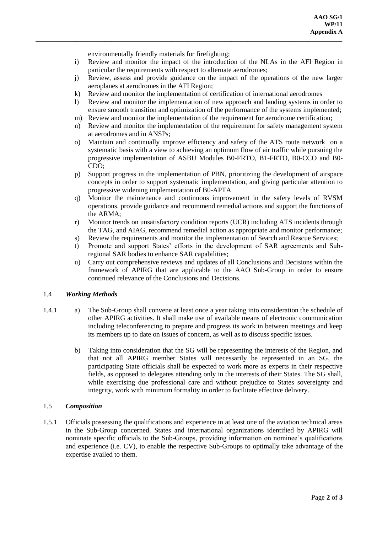environmentally friendly materials for firefighting;

- i) Review and monitor the impact of the introduction of the NLAs in the AFI Region in particular the requirements with respect to alternate aerodromes;
- j) Review, assess and provide guidance on the impact of the operations of the new larger aeroplanes at aerodromes in the AFI Region;
- k) Review and monitor the implementation of certification of international aerodromes

**\_\_\_\_\_\_\_\_\_\_\_\_\_\_\_\_\_\_\_\_\_\_\_\_\_\_\_\_\_\_\_\_\_\_\_\_\_\_\_\_\_\_\_\_\_\_\_\_\_\_\_\_\_\_\_\_\_\_\_\_\_\_\_\_\_\_\_\_\_\_\_\_\_\_\_\_\_\_\_\_\_\_\_\_\_\_\_\_\_\_\_\_\_\_\_\_\_**

- l) Review and monitor the implementation of new approach and landing systems in order to ensure smooth transition and optimization of the performance of the systems implemented;
- m) Review and monitor the implementation of the requirement for aerodrome certification;
- n) Review and monitor the implementation of the requirement for safety management system at aerodromes and in ANSPs;
- o) Maintain and continually improve efficiency and safety of the ATS route network on a systematic basis with a view to achieving an optimum flow of air traffic while pursuing the progressive implementation of ASBU Modules B0-FRTO, B1-FRTO, B0-CCO and B0- CDO;
- p) Support progress in the implementation of PBN, prioritizing the development of airspace concepts in order to support systematic implementation, and giving particular attention to progressive widening implementation of B0-APTA
- q) Monitor the maintenance and continuous improvement in the safety levels of RVSM operations, provide guidance and recommend remedial actions and support the functions of the ARMA;
- r) Monitor trends on unsatisfactory condition reports (UCR) including ATS incidents through the TAG, and AIAG, recommend remedial action as appropriate and monitor performance;
- s) Review the requirements and monitor the implementation of Search and Rescue Services;
- t) Promote and support States' efforts in the development of SAR agreements and Subregional SAR bodies to enhance SAR capabilities;
- u) Carry out comprehensive reviews and updates of all Conclusions and Decisions within the framework of APIRG that are applicable to the AAO Sub-Group in order to ensure continued relevance of the Conclusions and Decisions.

#### 1.4 *Working Methods*

- 1.4.1 a) The Sub-Group shall convene at least once a year taking into consideration the schedule of other APIRG activities. It shall make use of available means of electronic communication including teleconferencing to prepare and progress its work in between meetings and keep its members up to date on issues of concern, as well as to discuss specific issues.
	- b) Taking into consideration that the SG will be representing the interests of the Region, and that not all APIRG member States will necessarily be represented in an SG, the participating State officials shall be expected to work more as experts in their respective fields, as opposed to delegates attending only in the interests of their States. The SG shall, while exercising due professional care and without prejudice to States sovereignty and integrity, work with minimum formality in order to facilitate effective delivery.

#### 1.5 *Composition*

1.5.1 Officials possessing the qualifications and experience in at least one of the aviation technical areas in the Sub-Group concerned. States and international organizations identified by APIRG will nominate specific officials to the Sub-Groups, providing information on nominee's qualifications and experience (i.e. CV), to enable the respective Sub-Groups to optimally take advantage of the expertise availed to them.